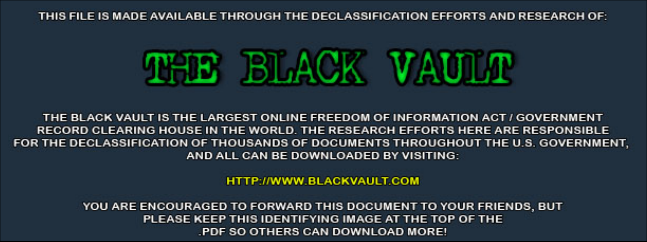THIS FILE IS MADE AVAILABLE THROUGH THE DECLASSIFICATION EFFORTS AND RESEARCH OF:



THE BLACK VAULT IS THE LARGEST ONLINE FREEDOM OF INFORMATION ACT / GOVERNMENT RECORD CLEARING HOUSE IN THE WORLD. THE RESEARCH EFFORTS HERE ARE RESPONSIBLE FOR THE DECLASSIFICATION OF THOUSANDS OF DOCUMENTS THROUGHOUT THE U.S. GOVERNMENT, AND ALL CAN BE DOWNLOADED BY VISITING:

**HTTP://WWW.BLACKVAULT.COM** 

YOU ARE ENCOURAGED TO FORWARD THIS DOCUMENT TO YOUR FRIENDS, BUT PLEASE KEEP THIS IDENTIFYING IMAGE AT THE TOP OF THE PDF SO OTHERS CAN DOWNLOAD MORE!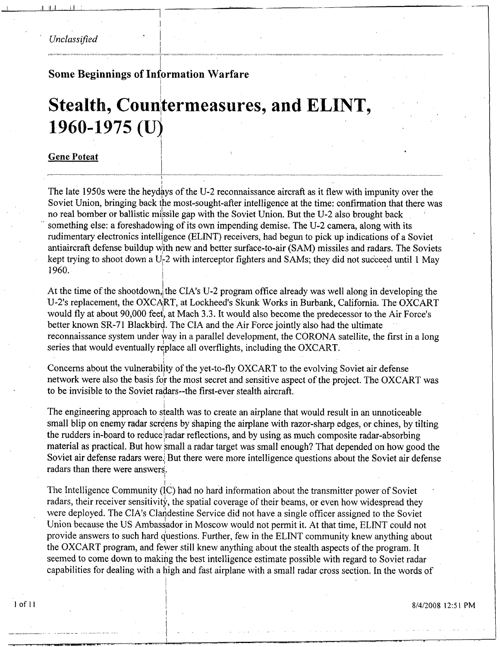#### Unclassified

#### **Some Beginnings of Information Warfare**

# Stealth, Countermeasures, and ELINT, 1960-1975 (U)

#### **Gene Poteat**

The late 1950s were the heydays of the U-2 reconnaissance aircraft as it flew with impunity over the Soviet Union, bringing back the most-sought-after intelligence at the time: confirmation that there was no real bomber or ballistic missile gap with the Soviet Union. But the U-2 also brought back something else: a foreshadowing of its own impending demise. The U-2 camera, along with its rudimentary electronics intelligence (ELINT) receivers, had begun to pick up indications of a Soviet antiaircraft defense buildup with new and better surface-to-air (SAM) missiles and radars. The Soviets kept trying to shoot down a U-2 with interceptor fighters and SAMs; they did not succeed until 1 May 1960.

At the time of the shootdown, the CIA's U-2 program office already was well along in developing the U-2's replacement, the OXCART, at Lockheed's Skunk Works in Burbank, California. The OXCART would fly at about 90,000 feet, at Mach 3.3. It would also become the predecessor to the Air Force's better known SR-71 Blackbird. The CIA and the Air Force jointly also had the ultimate reconnaissance system under way in a parallel development, the CORONA satellite, the first in a long series that would eventually replace all overflights, including the OXCART.

Concerns about the vulnerability of the yet-to-fly OXCART to the evolving Soviet air defense network were also the basis for the most secret and sensitive aspect of the project. The OXCART was to be invisible to the Soviet radars--the first-ever stealth aircraft.

The engineering approach to stealth was to create an airplane that would result in an unnoticeable small blip on enemy radar screens by shaping the airplane with razor-sharp edges, or chines, by tilting the rudders in-board to reduce radar reflections, and by using as much composite radar-absorbing material as practical. But how small a radar target was small enough? That depended on how good the Soviet air defense radars were. But there were more intelligence questions about the Soviet air defense radars than there were answers.

The Intelligence Community (IC) had no hard information about the transmitter power of Soviet radars, their receiver sensitivity, the spatial coverage of their beams, or even how widespread they were deployed. The CIA's Clandestine Service did not have a single officer assigned to the Soviet Union because the US Ambassador in Moscow would not permit it. At that time, ELINT could not provide answers to such hard questions. Further, few in the ELINT community knew anything about the OXCART program, and fewer still knew anything about the stealth aspects of the program. It seemed to come down to making the best intelligence estimate possible with regard to Soviet radar capabilities for dealing with a high and fast airplane with a small radar cross section. In the words of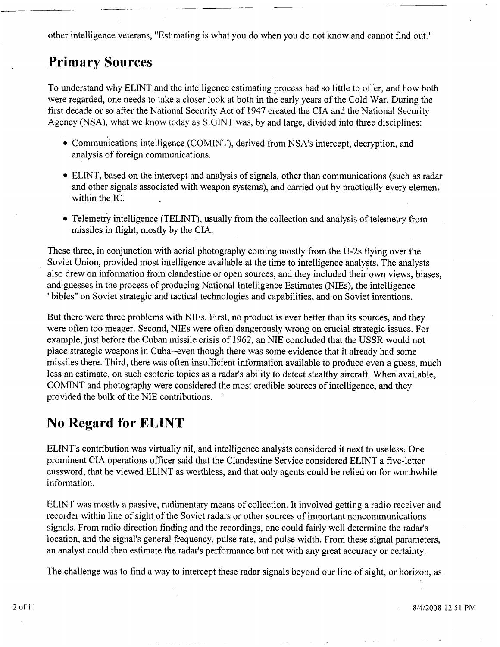other intelligence veterans, "Estimating is what you do when you do not know and cannot find out."

#### **Primary Sources**

To understand why ELINT and the intelligence estimating process had so little to offer, and how both were regarded, one needs to take a closer look at both in the early years of the Cold War. During the first decade or so after the National Security Act of 1947 created the CIA and the National Security Agency (NSA), what we know today as SIGINT was, by and large, divided into three disciplines:

- $\bullet$  Communications intelligence (COMINT), derived from NSA's intercept, decryption, and analysis of foreign communications.
- ELINT, based on the intercept and analysis of signals, other than communications (such as radar and other signals associated with weapon systems), and carried out by practically every element within the IC.
- Telemetry intelligence (TELINT), usually from the collection and analysis of telemetry from missiles in flight, mostly by the CIA.

These three, in conjunction with aerial photography coming mostly from the U-2s flying over the Soviet Union, provided most intelligence available at the time to intelligence analysts. The analysts also drew on information from clandestine or open sources, and they included their own views, biases, and guesses in the process of producing National Intelligence Estimates (NIEs), the intelligence "bibles" on Soviet strategic and tactical technologies and capabilities, and on Soviet intentions.

But there were three problems with NIEs. First, no product is ever better than its sources, and they were often too meager. Second, NIEs were often dangerously wrong on crucial strategic issues. For example, just before the Cuban missile crisis of 1962, an NIE concluded that the USSR would not place strategic weapons in Cuba--even though there was some evidence that it already had some missiles there. Third, there was often insufficient information available to produce even a guess, much less an estimate, on such esoteric topics as a radar's ability to detect stealthy aircraft. When available, COMINT and photography were considered the most credible sources of intelligence, and they provided the bulk of the NIE contributions. '

### **No Regard for ELINT**

ELINT's contribution was virtually nil, and intelligence analysts considered it next to useless; One prominent CIA operations officer said that the Clandestine Service considered ELINT a five-letter cussword, that he viewed ELINT as worthless, and that only agents could be relied on for worthwhile information.

ELINT was mostly a passive, rudimentary means of collection. It involved getting a radio receiver and recorder within line of sight of the Soviet radars or other sources of important noncommunications signals. From radio direction finding and the recordings, one could fairly well determine the radar's location, and the signal's general frequency, pulse rate, and pulse width. From these signal parameters, an analyst could then estimate the radar's performance but not with any great accuracy or certainty.

The challenge was to find a way to intercept these radar signals beyond our line of sight, or horizon, as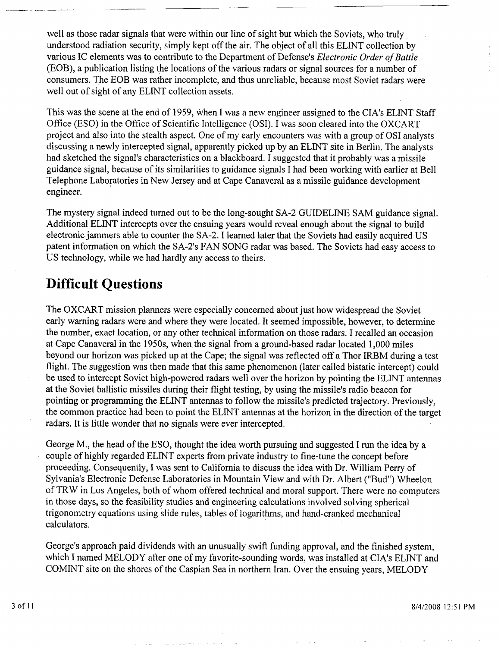well as those radar signals that were within our line of sight but which the Soviets, who truly understood radiation security, simply kept off the air. The object of all this ELINT collection by various IC elements was to contribute to the Department of Defense's *Electronic Order of Battle*  (EOB), a publication listing the locations of the various radars or signal sources for a number of consumers. The EOB was rather incomplete, and thus unreliable, because most Soviet radars were well out of sight of any ELINT collection assets.

This was the scene at the end of 1959, when I was a new engineer assigned to the CIA's ELINT Staff Office (ESO) in the Office of Scientific Intelligence (OSI). I was soon cleared into the OXCART project and also into the stealth aspect. One of my early encounters was with a group of OS1 analysts discussing a newly intercepted signal, apparently picked up by an ELTNT site in Berlin. The analysts had sketched the signal's characteristics on a blackboard. I suggested that it probably was a missile guidance signal, because of its similarities to guidance signals I had been working with earlier at Bell Telephone Laboratories in New Jersey and at Cape Canaveral as a missile guidance development engineer.

The mystery signal indeed turned out to be the long-sought SA-2 GUIDELINE **SAM** guidance signal. Additional ELINT intercepts over the ensuing years would reveal enough about the signal to build electronic jammers able to counter the SA-2. I learned later that the Soviets had easily acquired US patent information on which the SA-2's FAN SONG radar was based. The Soviets had easy access to US technology, while we had hardly any access to theirs.

#### **Difficult Questions**

The OXCART mission planners were especially concerned about just how widespread the Soviet early warning radars were and where they were located. It seemed impossible, however, to determine the number, exact location, or any other technical information on those radars. I recalled an occasion at Cape Canaveral in the 1950s, when the signal from a ground-based radar located 1,000 miles beyond our horizon was picked up at the Cape; the signal was reflected off a Thor IRBM during a test flight. The suggestion was then made that this same phenomenon (later called bistatic intercept) could be used to intercept Soviet high-powered radars well over the horizon by pointing the ELINT antennas at the Soviet ballistic missiles during their flight testing, by using the missile's radio beacon for pointing or programming the ELINT antennas to follow the missile's predicted trajectory. Previously, the common practice had been to point the ELINT antennas at the horizon in the direction of the target radars. It is little wonder that no signals were ever intercepted.

George M., the head of the ESO, thought the idea worth pursuing and suggested I run the idea by a couple of highly regarded ELINT experts from private industry to fine-tune the concept before proceeding. Consequently, I was sent to California to discuss the idea with Dr. William Perry of Sylvania's Electronic Defense Laboratories in Mountain View and with Dr. Albert ("Bud") Wheelon of TRW in Los Angeles, both of whom offered technical and moral support. There were no computers in those days, so the feasibility studies and engineering calculations involved solving spherical trigonometry equations using slide rules, tables of logarithms, and hand-cranked mechanical calculators.

George's approach paid dividends with an unusually swift funding approval, and the finished system, which I named MELODY after one of my favorite-sounding words, was installed at CIA's ELINT and COMINT site on the shores of the Caspian Sea in northern Iran. Over the ensuing years, MELODY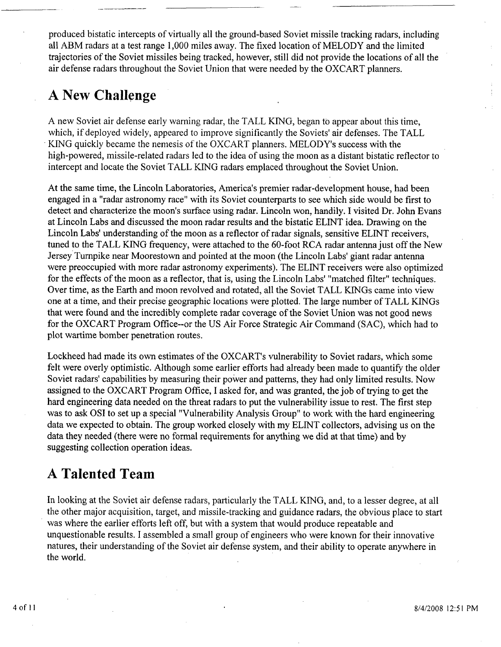produced bistatic intercepts of virtually all the ground-based Soviet missile tracking radars, including all ABM radars at a test range 1,000 miles away. The fixed location of MELODY and the limited trajectories of the Soviet missiles being tracked, however, still did not provide the locations of all the air defense radars throughout the Soviet Union that were needed by the OXCART planners.

### **A New Challenge**

A new Soviet air defense early warning radar, the TALL KING, began to appear about this time, which, if deployed widely, appeared to improve significantly the Soviets' air defenses. The TALL KING quickly became the nemesis of the OXCART planners. MELODY'S success with the high-powered, missile-related radars led to the idea of using the moon as a distant bistatic reflector to intercept and locate the Soviet TALL KING radars emplaced throughout the Soviet Union.

At the same time, the Lincoln Laboratories, America's premier radar-development house, had been engaged in a "radar astronomy race" with its Soviet counterparts to see which side would be first to detect and characterize the moon's surface using radar. Lincoln won, handily. I visited Dr. John Evans at Lincoln Labs and discussed the moon radar results and the bistatic ELINT idea. Drawing on the Lincoln Labs' understanding of the moon as a reflector of radar signals, sensitive ELINT receivers, tuned to the TALL KING frequency, were attached to the 60-foot RCA radar antenna just off the New Jersey Turnpike near Moorestown and pointed at the moon (the Lincoln Labs' giant radar antenna were preoccupied with more radar astronomy experiments). The ELINT receivers were also optimized for the effects of the moon as a reflector, that is, using the Lincoln Labs' "matched filter'' techniques. Over time, as the Earth and moon revolved and rotated, all the Soviet TALL KINGs came into view one at a time, and their precise geographic locations were plotted. The large number of TALL KINGS that were found and the incredibly complete radar coverage of the Soviet Union was not good news for the OXCART Program Office--or the US Air Force Strategic Air Command (SAC), which had to plot wartime bomber penetration routes.

Lockheed had made its own estimates of the OXCART'S vulnerability to Soviet radars, which some felt were overly optimistic. Although some earlier efforts had already been made to quantify the older Soviet radars' capabilities by measuring their power and patterns, they had only limited results. Now assigned to the OXCART Program Office, I asked for, and was granted, the job of trying to get the hard engineering data needed on the threat radars to put the vulnerability issue to rest. The first step was to ask OS1 to set up a special "Vulnerability Analysis Group" to work with the hard engineering data we expected to obtain. The group worked closely with my ELINT collectors, advising us on the data they needed (there were no formal requirements for anything we did at that time) and by suggesting collection operation ideas.

## **A Talented Team**

In looking at the Soviet air defense radars, particularly the TALL KING, and, to a lesser degree, at all the other major acquisition, target, and missile-tracking and guidance radars, the obvious place to start was where the earlier efforts left off, but with a system that would produce repeatable and unquestionable results. I assembled a small group of engineers who were known for their innovative natures, their understanding of the Soviet air defense system, and their ability to operate anywhere in the world.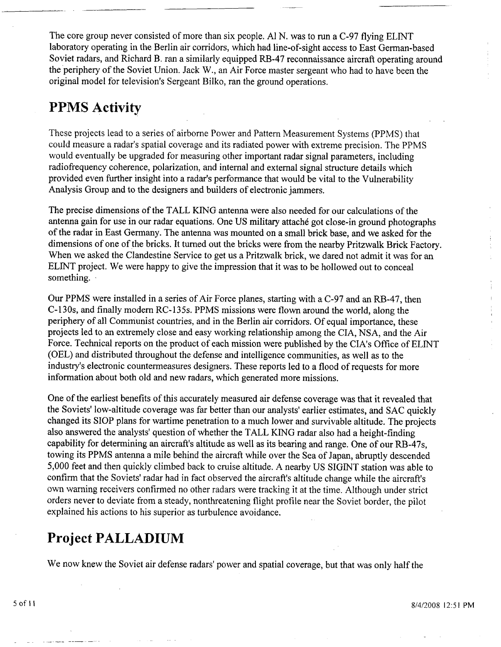The core group never consisted of more than six people. A1 N. was to run a C-97 flying ELINT laboratory operating in the Berlin air corridors, which had line-of-sight access to East German-based Soviet radars, and Richard B. ran a similarly equipped RB-47 reconnaissance aircraft operating around the periphery of the Soviet Union. Jack W., an Air Force master sergeant who had to have been the original model for television's Sergeant Bilko, ran the ground operations.

#### **PPMS Activity**

These projects lead to a series of airborne Power and Pattern Measurement Systems (PPMS) that could measure a radar's spatial coverage and its radiated power with extreme precision. The PPMS would eventually be upgraded for measuring other important radar signal parameters, including radiofrequency coherence, polarization, and internal and external signal structure details which provided even hrther insight into a radar's performance that would be vital to the Vulnerability Analysis Group and to the designers and builders of electronic jammers.

The precise dimensions of the TALL KING antenna were also needed for our calculations of the antenna gain for use in our radar equations, One **US** military attach6 got close-in ground photographs of the radar in East Germany. The antenna was mounted on a small brick base, and we asked for the dimensions of one of the bricks. It turned out the bricks were from the nearby Pritzwalk Brick Factory. When we asked the Clandestine Service to get us a Pritzwalk brick, we dared not admit it was for an ELINT project. We were happy to give the impression that it was to be hollowed out to conceal something.

Our PPMS were installed in a series of Air Force planes, starting with a C-97 and an RB-47, then C-130s, and finally modern RC-135s. PPMS missions were flown around the world, along the periphery of all Communist countries, and in the Berlin air corridors. Of equal importance, these projects led to an extremely close and easy working relationship among the CIA, NSA, and the Air Force. Technical reports on the product of each mission were published by the CIA'S Office of ELINT (OEL) and distributed throughout the defense and intelligence communities, as well as to the industry's electronic countermeasures designers. These reports led to a flood of requests for more information about both old and new radars, which generated more missions.

One of the earliest benefits of this accurately measured air defense coverage was that it revealed that the Soviets' low-altitude coverage was far better than our analysts' earlier estimates, and SAC quickly changed its SIOP plans for wartime penetration to a much lower and survivable altitude. The projects also answered the analysts' question of whether the TALL KING radar also had a height-finding capability for determining an aircraft's altitude as well as its bearing and range. One of our RB-47s, towing its PPMS antenna a mile behind the aircraft while over the Sea of Japan, abruptly descended 5,000 feet and then quickly climbed back to cruise altitude. A nearby US SIGINT station was able to confirm that the Soviets' radar had in fact observed the aircraft's altitude change while the aircraft's own warning receivers confirmed no other radars were tracking it at the time. Although under strict orders never to deviate from a steady, nonthreatening flight profile near the Soviet border, the pilot explained his actions to his superior as turbulence avoidance.

#### **Project PALLADIUM**

We now knew the Soviet air defense radars' power and spatial coverage, but that was only half the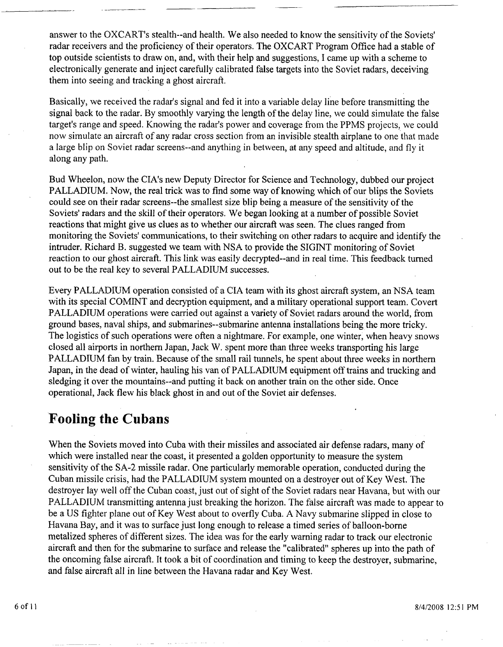answer to the OXCART'S stealth--and health. We also needed to know the sensitivity of the Soviets' radar receivers and the proficiency of their operators. The OXCART Program Office had a stable of top outside scientists to draw on, and, with their help and suggestions, I came up with a scheme to electronically generate and inject carefully calibrated false targets into the Soviet radars, deceiving them into seeing and tracking a ghost aircraft.

Basically, we received the radar's signal and fed it into a variable delay line before transmitting the signal back to the radar. By smoothly varying the length of the delay line, we could simulate the false target's range and speed. Knowing the radar's power and coverage from the PPMS projects, we could now simulate an aircraft of any radar cross section from an invisible stealth airplane to one that made a large blip on Soviet radar screens--and anything in between, at any speed and altitude, and fly it along any path.

Bud Wheelon, now the CIA'S new Deputy Director for Science and Technology, dubbed our project PALLADIUM. Now, the real trick was to find some way of knowing which of our blips the Soviets could see on their radar screens--the smallest size blip being a measure of the sensitivity of the Soviets' radars and the skill of their operators. We began looking at a number of possible Soviet reactions that might give us clues as to whether our aircraft was seen. The clues ranged from monitoring the Soviets' communications, to their switching on other radars to acquire and identify the intruder. Richard B. suggested we team with NSA to provide the SIGINT monitoring of Soviet reaction to our ghost aircraft. This link was easily decrypted--and in real time. This feedback turned out to be the real key to several PALLADIUM successes.

Every PALLADIUM operation consisted of a CIA team with its ghost aircraft system, an NSA team with its special COMINT and decryption equipment, and a military operational support team. Covert PALLADIUM operations were carried out against a variety of Soviet radars around the world, from ground bases, naval ships, and submarines--submarine antenna installations being the more tricky. The logistics of such operations were often a nightmare. For example, one winter, when heavy snows closed all airports in northern Japan, Jack W. spent more than three weeks transporting his large PALLADIUM fan by train. Because of the small rail tunnels, he spent about three weeks in northern Japan, in the dead of winter, hauling his van of PALLADIUM equipment off trains and trucking and sledging it over the mountains--and putting it back on another train on the other side. Once operational, Jack flew his black ghost in and out of the Soviet air defenses.

#### **Fooling the Cubans**

When the Soviets moved into Cuba with their missiles and associated air defense radars, many of which were installed near the coast, it presented a golden opportunity to measure the system sensitivity of the **SA-2** missile radar. One particularly memorable operation, conducted during the Cuban missile crisis, had the PALLADIUM system mounted on a destroyer out of Key West. The destroyer lay well off the Cuban coast, just out of sight of the Soviet radars near Havana, but with our PALLADIUM transmitting antenna just breaking the horizon. The false aircraft was made to appear to be a US fighter plane out of Key West about to overfly Cuba. A Navy submarine slipped in close to Havana Bay, and it was to surface just long enough to release a timed series of balloon-borne metalized spheres of different sizes. The idea was for the early warning radar to track our electronic aircraft and then for the submarine to surface and release the "calibrated" spheres up into the path of the oncoming false aircraft. It took a bit of coordination and timing to keep the destroyer, submarine, and false aircraft all in line between the Havana radar and Key West.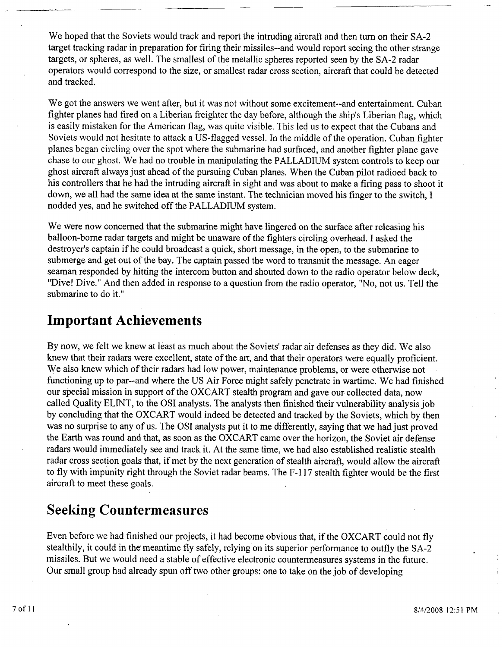We hoped that the Soviets would track and report the intruding aircraft and then turn on their SA-2 target tracking radar in preparation for firing their missiles--and would report seeing the other strange targets, or spheres, as well. The smallest of the metallic spheres reported seen by the SA-2 radar operators would correspond to the size, or smallest radar cross section, aircraft that could be detected and tracked.

We got the answers we went after, but it was not without some excitement--and entertainment. Cuban fighter planes had fired on a Liberian freighter the day before, although the ship's Liberian flag, which is easily mistaken for the American flag, was quite visible. This led us to expect that the Cubans and Soviets would not hesitate to attack a US-flagged vessel. In the middle of the operation, Cuban fighter planes began circling over the spot where the submarine had surfaced, and another fighter plane gave chase to our ghost. We had no trouble in manipulating the PALLADIUM system controls to keep our ghost aircraft always just ahead of the pursuing Cuban planes. When the Cuban pilot radioed back to his controllers that he had the intruding aircraft in sight and was about to make a firing pass to shoot it down, we all had the same idea at the same instant. The technician moved his finger to the switch, I nodded yes, and he switched off the PALLADIUM system.

We were now concerned that the submarine might have lingered on the surface after releasing his balloon-borne radar targets and might be unaware of the fighters circling overhead. I asked the destroyer's captain if he could broadcast a quick, short message, in the open, to the submarine to submerge and get out of the bay. The captain passed the word to transmit the message. An eager seaman responded by hitting the intercom button and shouted down to the radio operator below deck, "Dive! Dive." And then added in response to a question from the radio operator, "No, not us. Tell the submarine to do it."

#### **Important Achievements**

By now, we felt we knew at least as much about the Soviets' radar air defenses as they did. We also knew that their radars were excellent, state of the art, and that their operators were equally proficient. We also knew which of their radars had low power, maintenance problems, or were otherwise not functioning up to par--and where the US Air Force might safely penetrate in wartime. We had finished our special mission in support of the OXCART stealth program and gave our collected data, now called Quality ELINT, to the OS1 analysts. The analysts then finished their vulnerability analysis job by concluding that the OXCART would indeed be detected and tracked by the Soviets, which by then was no surprise to any of us. The OS1 analysts put it to me differently, saying that we had just proved the Earth was round and that, as soon as the OXCART came over the horizon, the Soviet air defense radars would immediately see and track it. At the same time, we had also established realistic stealth radar cross section goals that, if met by the next generation of stealth aircraft, would allow the aircraft to fly with impunity right through the Soviet radar beams. The F- 1 17 stealth fighter would be the first aircraft to meet these goals.

#### **Seeking Countermeasures**

Even before we had finished our projects, it had become obvious that, if the OXCART could not fly stealthily, it could in the meantime fly safely, relying on its superior performance to outfly the SA-2 missiles. But we would need a stable of effective electronic countermeasures systems in the future. Our small group had already spun off two other groups: one to take on the job of developing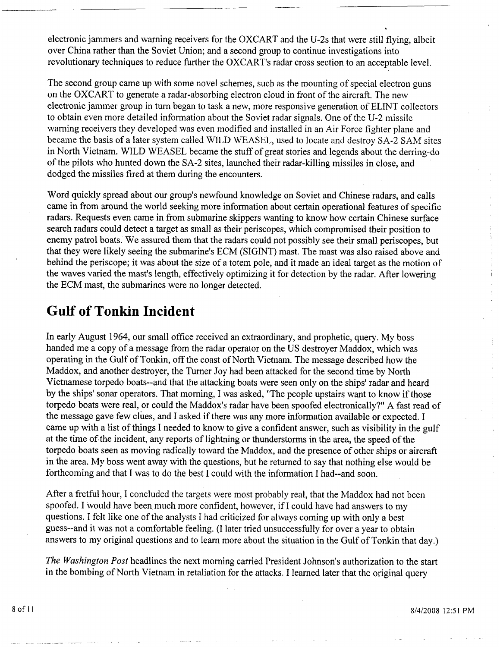electronic jammers and warning receivers for the OXCART and the U-2s that were still flying, albeit over China rather than the Soviet Union; and a second group to continue investigations into revolutionary techniques to reduce further the OXCART'S radar cross section to an acceptable level.

\*

The second group came up with some novel schemes, such as the mounting of special electron guns on the OXCART to generate a radar-absorbing electron cloud in front of the aircraft. The new electronic jammer group in turn began to task a new, more responsive generation of ELINT collectors to obtain even more detailed information about the Soviet radar signals. One of the U-2 missile warning receivers they developed was even modified and installed in an Air Force fighter plane and became the basis of a later system called WILD WEASEL, used to locate and destroy SA-2 SAM sites in North Vietnam. WILD WEASEL became the stuff of great stories and legends about the derring-do of the pilots who hunted down the **SA-2** sites, launched their radar-killing missiles in close, and dodged the missiles fired at them during the encounters.

Word quickly spread about our group's newfound knowledge on Soviet and Chinese radars, and calls came in from around the world seeking more information about certain operational features of specific radars. Requests even came in from submarine skippers wanting to know how certain Chinese surface search radars could detect a target as small as their periscopes, which compromised their position to enemy patrol boats, We assured them that the radars could not possibly see their small periscopes, but that they were likely seeing the submarine's ECM (SIGINT) mast. The mast was also raised above and behind the periscope; it was about the size of a totem pole, and it made an ideal target as the motion of the waves varied the mast's length, effectively optimizing it for detection by the radar. After lowering the ECM mast, the submarines were no longer detected.

#### **Gulf of Tonkin Incident**

In early August 1964, our small office received an extraordinary, and prophetic, query. My boss handed me a copy of a message from the radar operator on the US destroyer Maddox, which was operating in the Gulf of Tonkin, off the coast of North Vietnam. The message described how the Maddox, and another destroyer, the Turner Joy had been attacked for the second time by North Vietnamese torpedo boats--and that the attacking boats were seen only on the ships' radar and heard by the ships' sonar operators. That morning, I was asked, "The people upstairs want to know if those torpedo boats were real, or could the Maddox's radar have been spoofed electronically?" A fast read of the message gave few clues, and I asked if there was any more information available or expected. I came up with a list of things I needed to know to give a confident answer, such as visibility in the gulf at the time of the incident, any reports of lightning or thunderstorms in the area, the speed of the torpedo boats seen as moving radically toward the Maddox, and the presence of other ships or aircraft in the area. My boss went away with the questions, but he returned to say that nothing else would be forthcoming and that I was to do the best I could with the information I had--and soon.

After a fretful hour, I concluded the targets were most probably real, that the Maddox had not been spoofed. I would have been much more confident, however, if I could have had answers to my questions. I felt like one of the analysts I had criticized for always coming up with only a best guess--and it was not a comfortable feeling. (I later tried unsuccessfully for over a year to obtain answers to my original questions and to learn more about the situation in the Gulf of Tonkin that day.)

*The Washington Post* headlines the next morning carried President Johnson's authorization to the start in the bombing of North Vietnam in retaliation for the attacks. I learned later that the original query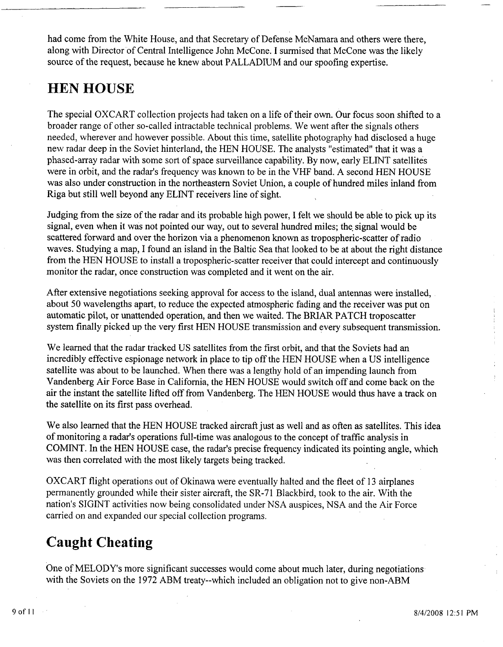had come from the White House, and that Secretary of Defense McNamara and others were there, along with Director of Central Intelligence John McCone. I surmised that McCone was the likely source of the request, because he knew about PALLADIUM and our spoofing expertise.

#### **HEN HOUSE**

The special OXCART collection projects had taken on a life of their own. Our focus soon shifted to a broader range of other so-called intractable technical problems. We went after the signals others needed, wherever and however possible. About this time, satellite photography had disclosed a huge new radar deep in the Soviet hinterland, the HEN HOUSE. The analysts "estimated" that it was a phased-array radar with some sort of space surveillance capability. By now, early ELINT satellites were in orbit, and the radar's frequency was known to be in the VHF band. A second HEN HOUSE was also under construction in the northeastern Soviet Union, a couple of hundred miles inland from Riga but still well beyond any ELINT receivers line of sight.

Judging from the size of the radar and its probable high power, I felt we should be able to pick up its signal, even when it was not pointed our way, out to several hundred miles; the signal would be. scattered forward and over the horizon via a phenomenon known as tropospheric-scatter of radio waves. Studying a map, I found an island in the Baltic Sea that looked to be at about the right distance from the HEN HOUSE to install a tropospheric-scatter receiver that could intercept and continuously monitor the radar, once construction was completed and it went on the air.

After extensive negotiations seeking approval for access to the island, dual antennas were installed, about 50 wavelengths apart, to reduce the expected atmospheric fading and the receiver was put on automatic pilot, or unattended operation, and then we waited. The BRJAR PATCH troposcatter system finally picked up the very first HEN HOUSE transmission and every subsequent transmission.

We learned that the radar tracked US satellites from the first orbit, and that the Soviets had an incredibly effective espionage network in place to tip off the HEN HOUSE when a US intelligence satellite was about to be launched. When there was a lengthy hold of an impending launch from Vandenberg Air Force Base in California, the HEN HOUSE would switch off and come back on the air the instant the satellite lifted off from Vandenberg. The HEN HOUSE would thus have a track on the satellite on its first pass overhead.

We also learned that the HEN HOUSE tracked aircraft just as well and as often as satellites. This idea of monitoring a radar's operations full-time was analogous to the concept of traffic analysis in COMINT. In the HEN HOUSE case, the radar's precise frequency indicated its pointing angle, which was then correlated with the most likely targets being tracked.

OXCART flight operations out of Okinawa were eventually halted and the fleet of 13 airplanes permanently grounded while their sister aircraft, the SR-7 1 Blackbird, took to the air. With the nation's SIGINT activities now being consolidated under NSA auspices, NSA and the Air Force carried on and expanded our special collection programs.

#### **Caught Cheating**

One of MELODY'S more significant successes would come about much later, during negotiations with the Soviets on the 1972 ABM treaty--which included an obligation not to give non-ABM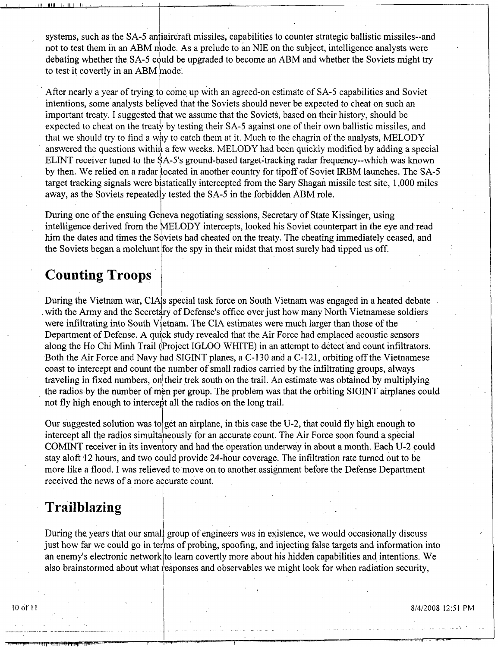systems, such as the SA-5 antiaircraft missiles, capabilities to counter strategic ballistic missiles-and not to test them in an ABM mode. As a prelude to an NIE on the subject, intelligence analysts were debating whether the SA-5 could be upgraded to become an ABM and whether the Soviets might try to test it covertly in an ABM mode.

After nearly a year of trying to come up with an agreed-on estimate of SA-5 capabilities and Soviet intentions, some analysts believed that the Soviets should never be expected to cheat on such an important treaty. I suggested that we assume that the Soviets, based on their history, should be expected to cheat on the treaty by testing their SA-5 against one of their own ballistic missiles, and that we should try to find a way to catch them at it. Much to the chagrin of the analysts. MELODY answered the questions within a few weeks. MELODY had been quickly modified by adding a special ELINT receiver tuned to the SA-5's ground-based target-tracking radar frequency--which was known by then. We relied on a radar located in another country for tipoff of Soviet IRBM launches. The SA-5 target tracking signals were bistatically intercepted from the Sary Shagan missile test site, 1,000 miles away, as the Soviets repeatedly tested the SA-5 in the forbidden ABM role.

During one of the ensuing Geneva negotiating sessions, Secretary of State Kissinger, using intelligence derived from the MELODY intercepts, looked his Soviet counterpart in the eye and read him the dates and times the Soviets had cheated on the treaty. The cheating immediately ceased, and the Soviets began a molehunt for the spy in their midst that most surely had tipped us off.

#### **Counting Troops**

During the Vietnam war, CIA's special task force on South Vietnam was engaged in a heated debate with the Army and the Secretary of Defense's office over just how many North Vietnamese soldiers were infiltrating into South Vietnam. The CIA estimates were much larger than those of the Department of Defense. A quick study revealed that the Air Force had emplaced acoustic sensors along the Ho Chi Minh Trail (Project IGLOO WHITE) in an attempt to detect and count infiltrators. Both the Air Force and Navy had SIGINT planes, a C-130 and a C-121, orbiting off the Vietnamese coast to intercept and count the number of small radios carried by the infiltrating groups, always traveling in fixed numbers, on their trek south on the trail. An estimate was obtained by multiplying the radios by the number of men per group. The problem was that the orbiting SIGINT airplanes could not fly high enough to intercept all the radios on the long trail.

Our suggested solution was to get an airplane, in this case the U-2, that could fly high enough to intercept all the radios simultaneously for an accurate count. The Air Force soon found a special COMINT receiver in its inventory and had the operation underway in about a month. Each U-2 could stay aloft 12 hours, and two could provide 24-hour coverage. The infiltration rate turned out to be more like a flood. I was relieved to move on to another assignment before the Defense Department received the news of a more accurate count.

#### Trailblazing

During the years that our small group of engineers was in existence, we would occasionally discuss just how far we could go in terms of probing, spoofing, and injecting false targets and information into an enemy's electronic network to learn covertly more about his hidden capabilities and intentions. We also brainstormed about what responses and observables we might look for when radiation security,